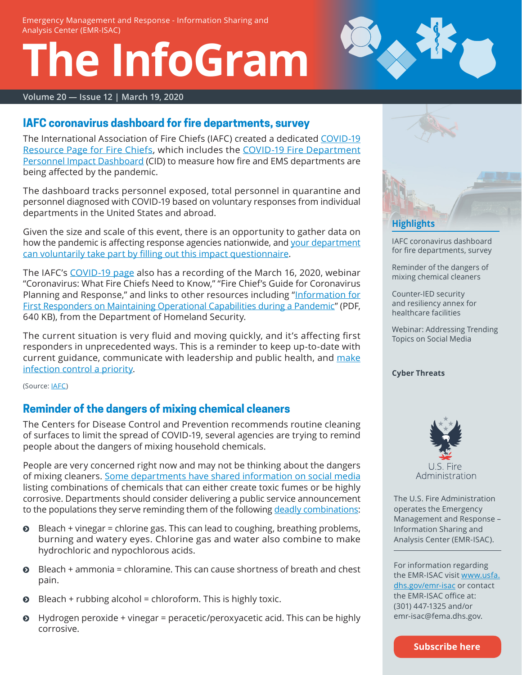# **The InfoGram**



#### **Volume 20 — Issue 12 | March 19, 2020**

### <span id="page-0-0"></span>**IAFC coronavirus dashboard for fire departments, survey**

The International Association of Fire Chiefs (IAFC) created a dedicated [COVID-19](https://www.iafc.org/topics-and-tools/resources/resource/coronavirus-resources-for-fire-chiefs) [Resource Page for Fire Chiefs](https://www.iafc.org/topics-and-tools/resources/resource/coronavirus-resources-for-fire-chiefs), which includes the [COVID-19 Fire Department](https://iafc.maps.arcgis.com/apps/opsdashboard/index.html#/3813d2f872224d8a93c52f05cd392b8c)  [Personnel Impact Dashboard](https://iafc.maps.arcgis.com/apps/opsdashboard/index.html#/3813d2f872224d8a93c52f05cd392b8c) (CID) to measure how fire and EMS departments are being affected by the pandemic.

The dashboard tracks personnel exposed, total personnel in quarantine and personnel diagnosed with COVID-19 based on voluntary responses from individual departments in the United States and abroad.

Given the size and scale of this event, there is an opportunity to gather data on how the pandemic is affecting response agencies nationwide, and your department [can voluntarily take part by filling out this impact questionnair](https://survey123.arcgis.com/share/51b3ae9608214fdaabf0eda199ebef7f
)[e.](https://survey123.arcgis.com/share/51b3ae9608214fdaabf0eda199ebef7f
)

The IAFC's [COVID-19 page](https://www.iafc.org/topics-and-tools/resources/resource/coronavirus-resources-for-fire-chiefs) also has a recording of the March 16, 2020, webinar "Coronavirus: What Fire Chiefs Need to Know," "Fire Chief's Guide for Coronavirus Planning and Response," and links to other resources including "[Information for](https://www.usfa.fema.gov/downloads/pdf/publications/first_responder_pandemic_operational_capabilities.pdf) [First Responders on Maintaining Operational Capabilities during a Pandemic](https://www.usfa.fema.gov/downloads/pdf/publications/first_responder_pandemic_operational_capabilities.pdf)" (PDF, 640 KB), from the Department of Homeland Security.

The current situation is very fluid and moving quickly, and it's affecting first responders in unprecedented ways. This is a reminder to keep up-to-date with current guidance, communicate with leadership and public health, and [make](https://www.usfa.fema.gov/current_events/coronavirus.html) [infection control a priority.](https://www.usfa.fema.gov/current_events/coronavirus.html)

(Source: [IAFC\)](https://www.iafc.org/topics-and-tools/resources/resource/coronavirus-resources-for-fire-chiefs)

#### <span id="page-0-1"></span>**Reminder of the dangers of mixing chemical cleaners**

The Centers for Disease Control and Prevention recommends routine cleaning of surfaces to limit the spread of COVID-19, several agencies are trying to remind people about the dangers of mixing household chemicals.

People are very concerned right now and may not be thinking about the dangers of mixing cleaners. [Some departments have shared information on social media](https://www.wpxi.com/news/top-stories/avoid-these-combinations-when-cleaning-coronavirus-local-hazmat-team-warns/3WZYBZNBYJEFZA6B45OCRANAYQ/) listing combinations of chemicals that can either create toxic fumes or be highly corrosive. Departments should consider delivering a public service announcement to the populations they serve reminding them of the following [deadly combinations](https://www.doh.wa.gov/YouandYourFamily/HealthyHome/Contaminants/BleachMixingDangers):

- $\odot$  Bleach + vinegar = chlorine gas. This can lead to coughing, breathing problems, burning and watery eyes. Chlorine gas and water also combine to make hydrochloric and nypochlorous acids.
- $\odot$  Bleach + ammonia = chloramine. This can cause shortness of breath and chest pain.
- $\odot$  Bleach + rubbing alcohol = chloroform. This is highly toxic.
- $\odot$  Hydrogen peroxide + vinegar = peracetic/peroxyacetic acid. This can be highly corrosive.



[IAFC coronavirus dashboard](#page-0-0)  [for fire departments, survey](#page-0-0)

[Reminder of the dangers of](#page-0-1)  [mixing chemical cleaners](#page-0-1)

[Counter-IED security](#page-1-0)  [and resiliency annex for](#page-1-0)  [healthcare facilities](#page-1-0)

[Webinar: Addressing Trending](#page-1-1)  [Topics on Social Media](#page-1-1)

#### **[Cyber Threats](#page-2-0)**



The U.S. Fire Administration operates the Emergency Management and Response – Information Sharing and Analysis Center (EMR-ISAC).

For information regarding the EMR-ISAC visit [www.usfa.](https://www.usfa.dhs.gov/emr-isac) [dhs.gov/emr-isac](https://www.usfa.dhs.gov/emr-isac) or contact the EMR-ISAC office at: (301) 447-1325 and/or [emr-isac@fema.dhs.gov.](mailto:emr-isac%40fema.dhs.gov?subject=)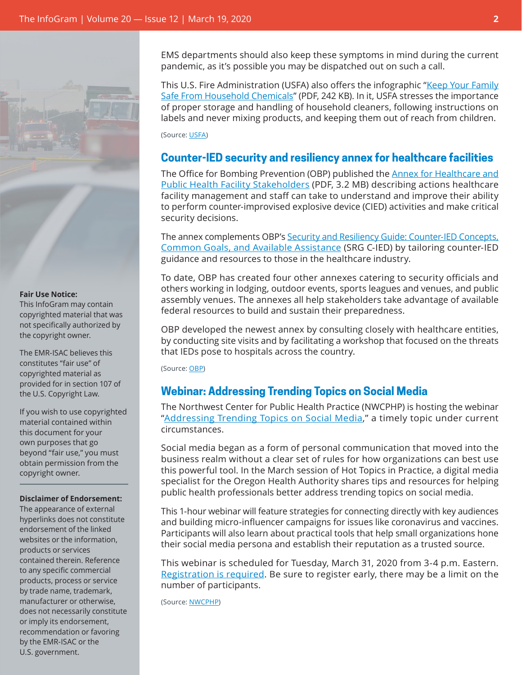

#### **Fair Use Notice:**

This InfoGram may contain copyrighted material that was not specifically authorized by the copyright owner.

The EMR-ISAC believes this constitutes "fair use" of copyrighted material as provided for in section 107 of the U.S. Copyright Law.

If you wish to use copyrighted material contained within this document for your own purposes that go beyond "fair use," you must obtain permission from the copyright owner.

#### **Disclaimer of Endorsement:**

The appearance of external hyperlinks does not constitute endorsement of the linked websites or the information, products or services contained therein. Reference to any specific commercial products, process or service by trade name, trademark, manufacturer or otherwise, does not necessarily constitute or imply its endorsement, recommendation or favoring by the EMR-ISAC or the U.S. government.

EMS departments should also keep these symptoms in mind during the current pandemic, as it's possible you may be dispatched out on such a call.

This U.S. Fire Administration (USFA) also offers the infographic "[Keep Your Family](https://www.usfa.fema.gov/downloads/pdf/publications/keep_family_safe_from_chemicals_flyer.pdf)  [Safe From Household Chemicals](https://www.usfa.fema.gov/downloads/pdf/publications/keep_family_safe_from_chemicals_flyer.pdf)" (PDF, 242 KB). In it, USFA stresses the importance of proper storage and handling of household cleaners, following instructions on labels and never mixing products, and keeping them out of reach from children.

(Source: [USFA\)](https://www.usfa.fema.gov/)

#### <span id="page-1-0"></span>**Counter-IED security and resiliency annex for healthcare facilities**

The Office for Bombing Prevention (OBP) published the [Annex for Healthcare and](https://www.cisa.gov/sites/default/files/publications/Security-and-Resiliency-Guide-Healthcare-and-Public-Health-Facility-Annex_0.pdf)  [Public Health Facility Stakeholders](https://www.cisa.gov/sites/default/files/publications/Security-and-Resiliency-Guide-Healthcare-and-Public-Health-Facility-Annex_0.pdf) (PDF, 3.2 MB) describing actions healthcare facility management and staff can take to understand and improve their ability to perform counter-improvised explosive device (CIED) activities and make critical security decisions.

The annex complements OBP's [Security and Resiliency Guide: Counter-IED Concepts,](https://www.cisa.gov/publication/security-and-resiliency-guide-and-annexes) [Common Goals, and Available Assistance](https://www.cisa.gov/publication/security-and-resiliency-guide-and-annexes) (SRG C-IED) by tailoring counter-IED guidance and resources to those in the healthcare industry.

To date, OBP has created four other annexes catering to security officials and others working in lodging, outdoor events, sports leagues and venues, and public assembly venues. The annexes all help stakeholders take advantage of available federal resources to build and sustain their preparedness.

OBP developed the newest annex by consulting closely with healthcare entities, by conducting site visits and by facilitating a workshop that focused on the threats that IEDs pose to hospitals across the country.

(Source: [OBP](https://www.cisa.gov/publication/security-and-resiliency-guide-and-annexes))

#### <span id="page-1-1"></span>**Webinar: Addressing Trending Topics on Social Media**

The Northwest Center for Public Health Practice (NWCPHP) is hosting the webinar "[Addressing Trending Topics on Social Media](https://washington.zoom.us/webinar/register/8515838749586/WN__DgroDOGTw-_GC23bHpFmw)," a timely topic under current circumstances.

Social media began as a form of personal communication that moved into the business realm without a clear set of rules for how organizations can best use this powerful tool. In the March session of Hot Topics in Practice, a digital media specialist for the Oregon Health Authority shares tips and resources for helping public health professionals better address trending topics on social media.

This 1-hour webinar will feature strategies for connecting directly with key audiences and building micro-influencer campaigns for issues like coronavirus and vaccines. Participants will also learn about practical tools that help small organizations hone their social media persona and establish their reputation as a trusted source.

This webinar is scheduled for Tuesday, March 31, 2020 from 3-4 p.m. Eastern. [Registration is required](https://washington.zoom.us/webinar/register/8515838749586/WN__DgroDOGTw-_GC23bHpFmw). Be sure to register early, there may be a limit on the number of participants.

(Source: [NWCPHP](http://www.nwcphp.org/))